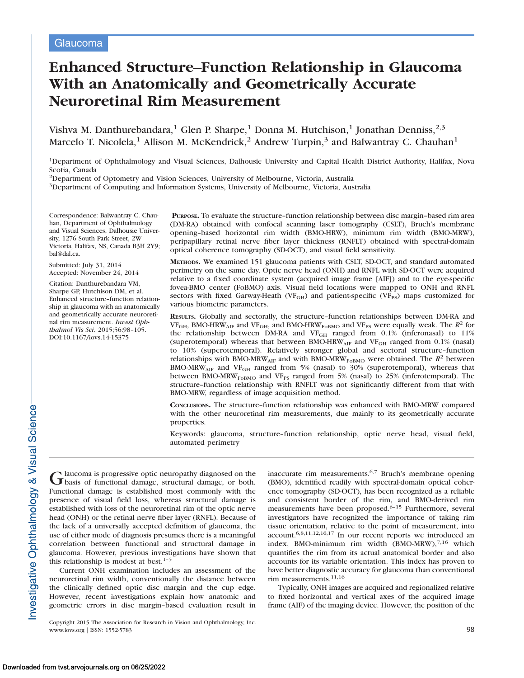# Enhanced Structure–Function Relationship in Glaucoma With an Anatomically and Geometrically Accurate Neuroretinal Rim Measurement

Vishva M. Danthurebandara,<sup>1</sup> Glen P. Sharpe,<sup>1</sup> Donna M. Hutchison,<sup>1</sup> Jonathan Denniss,<sup>2,3</sup> Marcelo T. Nicolela,<sup>1</sup> Allison M. McKendrick,<sup>2</sup> Andrew Turpin,<sup>3</sup> and Balwantray C. Chauhan<sup>1</sup>

1Department of Ophthalmology and Visual Sciences, Dalhousie University and Capital Health District Authority, Halifax, Nova Scotia, Canada

2Department of Optometry and Vision Sciences, University of Melbourne, Victoria, Australia

3Department of Computing and Information Systems, University of Melbourne, Victoria, Australia

Correspondence: Balwantray C. Chauhan, Department of Ophthalmology and Visual Sciences, Dalhousie University, 1276 South Park Street, 2W Victoria, Halifax, NS, Canada B3H 2Y9; bal@dal.ca.

Submitted: July 31, 2014 Accepted: November 24, 2014

Citation: Danthurebandara VM, Sharpe GP, Hutchison DM, et al. Enhanced structure–function relationship in glaucoma with an anatomically and geometrically accurate neuroretinal rim measurement. Invest Ophthalmol Vis Sci. 2015;56:98–105. DOI:10.1167/iovs.14-15375

PURPOSE. To evaluate the structure–function relationship between disc margin–based rim area (DM-RA) obtained with confocal scanning laser tomography (CSLT), Bruch's membrane opening–based horizontal rim width (BMO-HRW), minimum rim width (BMO-MRW), peripapillary retinal nerve fiber layer thickness (RNFLT) obtained with spectral-domain optical coherence tomography (SD-OCT), and visual field sensitivity.

METHODS. We examined 151 glaucoma patients with CSLT, SD-OCT, and standard automated perimetry on the same day. Optic nerve head (ONH) and RNFL with SD-OCT were acquired relative to a fixed coordinate system (acquired image frame [AIF]) and to the eye-specific fovea-BMO center (FoBMO) axis. Visual field locations were mapped to ONH and RNFL sectors with fixed Garway-Heath (VF<sub>GH</sub>) and patient-specific (VF<sub>PS</sub>) maps customized for various biometric parameters.

RESULTS. Globally and sectorally, the structure–function relationships between DM-RA and  $VF<sub>GH</sub>$  BMO-HRW<sub>AIF</sub> and VF<sub>GH</sub>, and BMO-HRW<sub>FOBMO</sub> and VF<sub>PS</sub> were equally weak. The  $R^2$  for the relationship between DM-RA and  $VF_{GH}$  ranged from 0.1% (inferonasal) to 11% (superotemporal) whereas that between BMO-HRWAIF and VFGH ranged from 0.1% (nasal) to 10% (superotemporal). Relatively stronger global and sectoral structure–function relationships with BMO-MRW<sub>AIF</sub> and with BMO-MRW<sub>FOBMO</sub> were obtained. The  $R^2$  between BMO-MRWAIF and VFGH ranged from 5% (nasal) to 30% (superotemporal), whereas that between BMO-MRW<sub>FOBMO</sub> and VF<sub>PS</sub> ranged from 5% (nasal) to 25% (inferotemporal). The structure–function relationship with RNFLT was not significantly different from that with BMO-MRW, regardless of image acquisition method.

CONCLUSIONS. The structure–function relationship was enhanced with BMO-MRW compared with the other neuroretinal rim measurements, due mainly to its geometrically accurate properties.

Keywords: glaucoma, structure–function relationship, optic nerve head, visual field, automated perimetry

Glaucoma is progressive optic neuropathy diagnosed on the basis of functional damage, structural damage, or both. Functional damage is established most commonly with the presence of visual field loss, whereas structural damage is established with loss of the neuroretinal rim of the optic nerve head (ONH) or the retinal nerve fiber layer (RNFL). Because of the lack of a universally accepted definition of glaucoma, the use of either mode of diagnosis presumes there is a meaningful correlation between functional and structural damage in glaucoma. However, previous investigations have shown that this relationship is modest at best.<sup>1-5</sup>

Current ONH examination includes an assessment of the neuroretinal rim width, conventionally the distance between the clinically defined optic disc margin and the cup edge. However, recent investigations explain how anatomic and geometric errors in disc margin–based evaluation result in inaccurate rim measurements.6,7 Bruch's membrane opening (BMO), identified readily with spectral-domain optical coherence tomography (SD-OCT), has been recognized as a reliable and consistent border of the rim, and BMO-derived rim measurements have been proposed.6–15 Furthermore, several investigators have recognized the importance of taking rim tissue orientation, relative to the point of measurement, into account.6,8,11,12,16,17 In our recent reports we introduced an index, BMO-minimum rim width  $(BMO-MRW)$ ,<sup>7,16</sup> which quantifies the rim from its actual anatomical border and also accounts for its variable orientation. This index has proven to have better diagnostic accuracy for glaucoma than conventional rim measurements.11,16

Typically, ONH images are acquired and regionalized relative to fixed horizontal and vertical axes of the acquired image frame (AIF) of the imaging device. However, the position of the

Copyright 2015 The Association for Research in Vision and Ophthalmology, Inc. www.iovs.org | ISSN: 1552-5783 98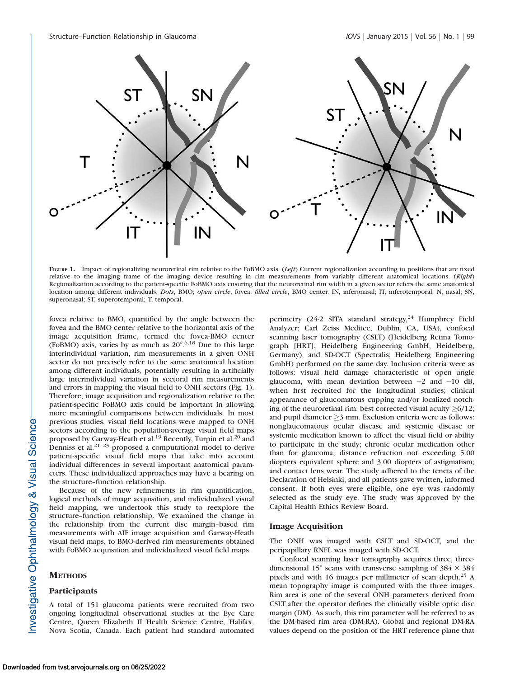Structure–Function Relationship in Glaucoma IOVS | January 2015 | Vol. 56 | No. 1 | 99



FIGURE 1. Impact of regionalizing neuroretinal rim relative to the FoBMO axis. (Left) Current regionalization according to positions that are fixed relative to the imaging frame of the imaging device resulting in rim measurements from variably different anatomical locations. (Right) Regionalization according to the patient-specific FoBMO axis ensuring that the neuroretinal rim width in a given sector refers the same anatomical location among different individuals. Dots, BMO; open circle, fovea; filled circle, BMO center. IN, inferonasal; IT, inferotemporal; N, nasal; SN, superonasal; ST, superotemporal; T, temporal.

fovea relative to BMO, quantified by the angle between the fovea and the BMO center relative to the horizontal axis of the image acquisition frame, termed the fovea-BMO center (FoBMO) axis, varies by as much as  $20^{\circ}.6,18$  Due to this large interindividual variation, rim measurements in a given ONH sector do not precisely refer to the same anatomical location among different individuals, potentially resulting in artificially large interindividual variation in sectoral rim measurements and errors in mapping the visual field to ONH sectors (Fig. 1). Therefore, image acquisition and regionalization relative to the patient-specific FoBMO axis could be important in allowing more meaningful comparisons between individuals. In most previous studies, visual field locations were mapped to ONH sectors according to the population-average visual field maps proposed by Garway-Heath et al.<sup>19</sup> Recently, Turpin et al.<sup>20</sup> and Denniss et al.<sup>21-23</sup> proposed a computational model to derive patient-specific visual field maps that take into account individual differences in several important anatomical parameters. These individualized approaches may have a bearing on the structure–function relationship.

Because of the new refinements in rim quantification, logical methods of image acquisition, and individualized visual field mapping, we undertook this study to reexplore the structure–function relationship. We examined the change in the relationship from the current disc margin–based rim measurements with AIF image acquisition and Garway-Heath visual field maps, to BMO-derived rim measurements obtained with FoBMO acquisition and individualized visual field maps.

## **METHODS**

#### Participants

A total of 151 glaucoma patients were recruited from two ongoing longitudinal observational studies at the Eye Care Centre, Queen Elizabeth II Health Science Centre, Halifax, Nova Scotia, Canada. Each patient had standard automated perimetry (24-2 SITA standard strategy,<sup>24</sup> Humphrey Field Analyzer; Carl Zeiss Meditec, Dublin, CA, USA), confocal scanning laser tomography (CSLT) (Heidelberg Retina Tomograph [HRT]; Heidelberg Engineering GmbH, Heidelberg, Germany), and SD-OCT (Spectralis; Heidelberg Engineering GmbH) performed on the same day. Inclusion criteria were as follows: visual field damage characteristic of open angle glaucoma, with mean deviation between  $-2$  and  $-10$  dB, when first recruited for the longitudinal studies; clinical appearance of glaucomatous cupping and/or localized notching of the neuroretinal rim; best corrected visual acuity  $\geq 6/12$ ; and pupil diameter  $\geq$ 3 mm. Exclusion criteria were as follows: nonglaucomatous ocular disease and systemic disease or systemic medication known to affect the visual field or ability to participate in the study; chronic ocular medication other than for glaucoma; distance refraction not exceeding 5.00 diopters equivalent sphere and 3.00 diopters of astigmatism; and contact lens wear. The study adhered to the tenets of the Declaration of Helsinki, and all patients gave written, informed consent. If both eyes were eligible, one eye was randomly selected as the study eye. The study was approved by the Capital Health Ethics Review Board.

### Image Acquisition

The ONH was imaged with CSLT and SD-OCT, and the peripapillary RNFL was imaged with SD-OCT.

Confocal scanning laser tomography acquires three, threedimensional 15 $^{\circ}$  scans with transverse sampling of 384  $\times$  384 pixels and with 16 images per millimeter of scan depth.<sup>25</sup> A mean topography image is computed with the three images. Rim area is one of the several ONH parameters derived from CSLT after the operator defines the clinically visible optic disc margin (DM). As such, this rim parameter will be referred to as the DM-based rim area (DM-RA). Global and regional DM-RA values depend on the position of the HRT reference plane that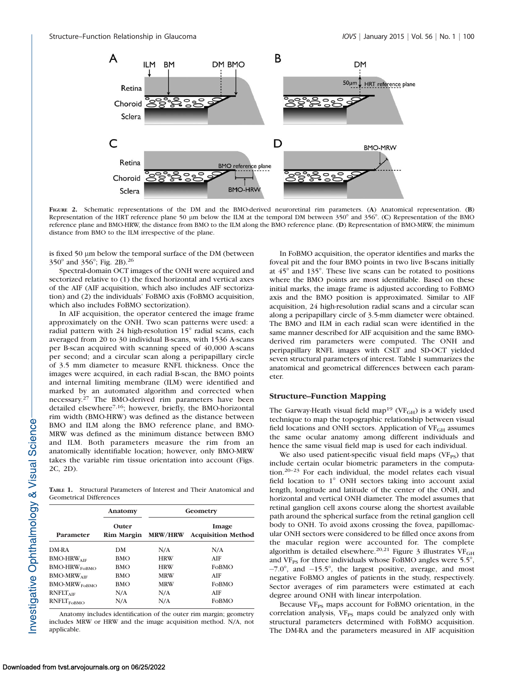

FIGURE 2. Schematic representations of the DM and the BMO-derived neuroretinal rim parameters. (A) Anatomical representation. (B) Representation of the HRT reference plane 50 µm below the ILM at the temporal DM between 350° and 356°. (C) Representation of the BMO reference plane and BMO-HRW, the distance from BMO to the ILM along the BMO reference plane. (D) Representation of BMO-MRW, the minimum distance from BMO to the ILM irrespective of the plane.

is fixed 50 µm below the temporal surface of the DM (between  $350^{\circ}$  and  $356^{\circ}$ ; Fig. 2B).<sup>26</sup>

Spectral-domain OCT images of the ONH were acquired and sectorized relative to (1) the fixed horizontal and vertical axes of the AIF (AIF acquisition, which also includes AIF sectorization) and (2) the individuals' FoBMO axis (FoBMO acquisition, which also includes FoBMO sectorization).

In AIF acquisition, the operator centered the image frame approximately on the ONH. Two scan patterns were used: a radial pattern with 24 high-resolution  $15^\circ$  radial scans, each averaged from 20 to 30 individual B-scans, with 1536 A-scans per B-scan acquired with scanning speed of 40,000 A-scans per second; and a circular scan along a peripapillary circle of 3.5 mm diameter to measure RNFL thickness. Once the images were acquired, in each radial B-scan, the BMO points and internal limiting membrane (ILM) were identified and marked by an automated algorithm and corrected when necessary.<sup>27</sup> The BMO-derived rim parameters have been detailed elsewhere<sup>7,16</sup>; however, briefly, the BMO-horizontal rim width (BMO-HRW) was defined as the distance between BMO and ILM along the BMO reference plane, and BMO-MRW was defined as the minimum distance between BMO and ILM. Both parameters measure the rim from an anatomically identifiable location; however, only BMO-MRW takes the variable rim tissue orientation into account (Figs. 2C, 2D).

TABLE 1. Structural Parameters of Interest and Their Anatomical and Geometrical Differences

|                                 | Anatomy                    | Geometry       |                                    |
|---------------------------------|----------------------------|----------------|------------------------------------|
| Parameter                       | <b>Outer</b><br>Rim Margin | <b>MRW/HRW</b> | Image<br><b>Acquisition Method</b> |
| DM-RA                           | DM                         | N/A            | N/A                                |
| <b>BMO-HRW<sub>AIF</sub></b>    | <b>BMO</b>                 | <b>HRW</b>     | AIF                                |
| $BMO-HRW_{FoBMO}$               | <b>BMO</b>                 | <b>HRW</b>     | <b>FOBMO</b>                       |
| <b>BMO-MRW<sub>AIF</sub></b>    | <b>BMO</b>                 | <b>MRW</b>     | AIF                                |
| <b>BMO-MRW</b> <sub>FOBMO</sub> | <b>BMO</b>                 | <b>MRW</b>     | <b>FOBMO</b>                       |
| RNFLT <sub>AIF</sub>            | N/A                        | N/A            | AIF                                |
| RNFLT <sub>FOBMO</sub>          | N/A                        | N/A            | FoBMO                              |

Anatomy includes identification of the outer rim margin; geometry includes MRW or HRW and the image acquisition method. N/A, not applicable.

In FoBMO acquisition, the operator identifies and marks the foveal pit and the four BMO points in two live B-scans initially at  $45^{\circ}$  and  $135^{\circ}$ . These live scans can be rotated to positions where the BMO points are most identifiable. Based on these initial marks, the image frame is adjusted according to FoBMO axis and the BMO position is approximated. Similar to AIF acquisition, 24 high-resolution radial scans and a circular scan along a peripapillary circle of 3.5-mm diameter were obtained. The BMO and ILM in each radial scan were identified in the same manner described for AIF acquisition and the same BMOderived rim parameters were computed. The ONH and peripapillary RNFL images with CSLT and SD-OCT yielded seven structural parameters of interest. Table 1 summarizes the anatomical and geometrical differences between each parameter.

### Structure–Function Mapping

The Garway-Heath visual field map<sup>19</sup> (VF<sub>GH</sub>) is a widely used technique to map the topographic relationship between visual field locations and ONH sectors. Application of  $VF<sub>GH</sub>$  assumes the same ocular anatomy among different individuals and hence the same visual field map is used for each individual.

We also used patient-specific visual field maps  $(VF_{PS})$  that include certain ocular biometric parameters in the computation.20–23 For each individual, the model relates each visual field location to  $1^\circ$  ONH sectors taking into account axial length, longitude and latitude of the center of the ONH, and horizontal and vertical ONH diameter. The model assumes that retinal ganglion cell axons course along the shortest available path around the spherical surface from the retinal ganglion cell body to ONH. To avoid axons crossing the fovea, papillomacular ONH sectors were considered to be filled once axons from the macular region were accounted for. The complete algorithm is detailed elsewhere.<sup>20,21</sup> Figure 3 illustrates  $VF_{GH}$ and VF<sub>PS</sub> for three individuals whose FoBMO angles were  $5.5^{\circ}$ ,  $-7.0^{\circ}$ , and  $-15.5^{\circ}$ , the largest positive, average, and most negative FoBMO angles of patients in the study, respectively. Sector averages of rim parameters were estimated at each degree around ONH with linear interpolation.

Because VF<sub>PS</sub> maps account for FoBMO orientation, in the correlation analysis, VF<sub>PS</sub> maps could be analyzed only with structural parameters determined with FoBMO acquisition. The DM-RA and the parameters measured in AIF acquisition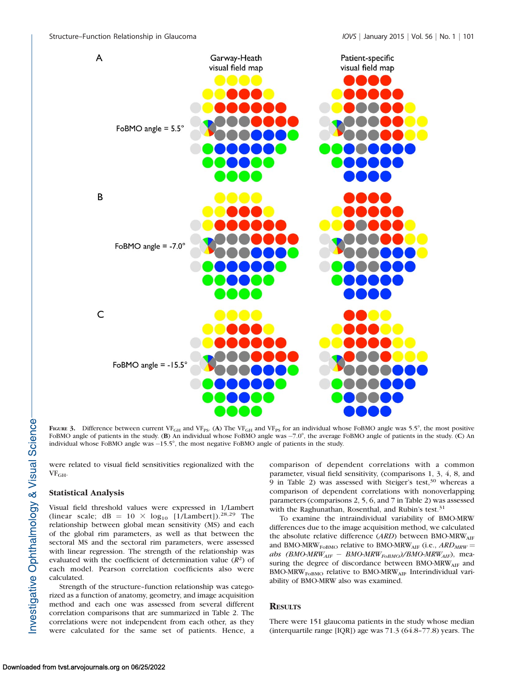

FIGURE 3. Difference between current VF<sub>GH</sub> and VF<sub>PS</sub>. (A) The VF<sub>GH</sub> and VF<sub>PS</sub> for an individual whose FoBMO angle was 5.5°, the most positive FoBMO angle of patients in the study. (B) An individual whose FoBMO angle was  $-7.0^{\circ}$ , the average FoBMO angle of patients in the study. (C) An individual whose FoBMO angle was  $-15.5^{\circ}$ , the most negative FoBMO angle of patients in the study.

were related to visual field sensitivities regionalized with the  $VF<sub>GH</sub>$ .

## Statistical Analysis

Visual field threshold values were expressed in 1/Lambert (linear scale;  $dB = 10 \times log_{10} [1/Lambert])$ .<sup>28,29</sup> The relationship between global mean sensitivity (MS) and each of the global rim parameters, as well as that between the sectoral MS and the sectoral rim parameters, were assessed with linear regression. The strength of the relationship was evaluated with the coefficient of determination value  $(R^2)$  of each model. Pearson correlation coefficients also were calculated.

Strength of the structure–function relationship was categorized as a function of anatomy, geometry, and image acquisition method and each one was assessed from several different correlation comparisons that are summarized in Table 2. The correlations were not independent from each other, as they were calculated for the same set of patients. Hence, a

comparison of dependent correlations with a common parameter, visual field sensitivity, (comparisons 1, 3, 4, 8, and 9 in Table 2) was assessed with Steiger's test, $30$  whereas a comparison of dependent correlations with nonoverlapping parameters (comparisons 2, 5, 6, and 7 in Table 2) was assessed with the Raghunathan, Rosenthal, and Rubin's test.<sup>31</sup>

To examine the intraindividual variability of BMO-MRW differences due to the image acquisition method, we calculated the absolute relative difference  $(ARD)$  between BMO-MRW<sub>AIF</sub> and BMO-MRW<sub>FOBMO</sub> relative to BMO-MRW<sub>AIF</sub> (i.e.,  $ARD_{MRW}$  = abs (BMO-MRW<sub>AIF</sub> – BMO-MRW<sub>FOBMO</sub>)/BMO-MRW<sub>AIF</sub>), measuring the degree of discordance between BMO-MRW<sub>AIF</sub> and BMO-MRW<sub>FOBMO</sub> relative to BMO-MRW<sub>AIF</sub> Interindividual variability of BMO-MRW also was examined.

# **RESULTS**

There were 151 glaucoma patients in the study whose median (interquartile range [IQR]) age was 71.3 (64.8–77.8) years. The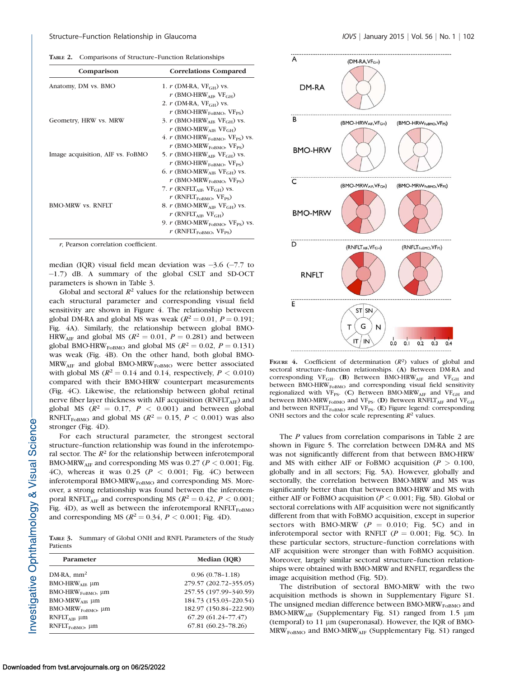## Structure–Function Relationship in Glaucoma IOVS i January 2015 | Vol. 56 | No. 1 | 102

TABLE 2. Comparisons of Structure–Function Relationships

| Comparison                       | <b>Correlations Compared</b>                              |
|----------------------------------|-----------------------------------------------------------|
| Anatomy, DM vs. BMO              | 1. $r$ (DM-RA, VF <sub>GH</sub> ) vs.                     |
|                                  | $r$ (BMO-HRW <sub>AIE</sub> VF <sub>GH</sub> )            |
|                                  | 2. $r$ (DM-RA, VF <sub>GH</sub> ) vs.                     |
|                                  | $r$ (BMO-HRW <sub>EOBMO</sub> , VF <sub>PS</sub> )        |
| Geometry, HRW vs. MRW            | 3. $r$ (BMO-HRW <sub>AIB</sub> VF <sub>GH</sub> ) vs.     |
|                                  | $r$ (BMO-MRW <sub>AIB</sub> VF <sub>GH</sub> )            |
|                                  | 4. $r$ (BMO-HRW <sub>FOBMO</sub> , VF <sub>PS</sub> ) vs. |
|                                  | $r$ (BMO-MRW <sub>FORMO</sub> , VF <sub>PS</sub> )        |
| Image acquisition, AIF vs. FoBMO | 5. $r$ (BMO-HRW <sub>AIB</sub> VF <sub>GH</sub> ) vs.     |
|                                  | $r$ (BMO-HRW <sub>FOBMO</sub> , VF <sub>PS</sub> )        |
|                                  | 6. $r$ (BMO-MRW <sub>AIB</sub> VF <sub>GH</sub> ) vs.     |
|                                  | $r$ (BMO-MRW <sub>FORMO</sub> , VF <sub>PS</sub> )        |
|                                  | 7. $r$ (RNFLT <sub>AIB</sub> VF <sub>GH</sub> ) vs.       |
|                                  | $r$ (RNFLT <sub>FORMO</sub> , VF <sub>ps</sub> )          |
| <b>BMO-MRW vs. RNFLT</b>         | 8. $r$ (BMO-MRW <sub>AIB</sub> VF <sub>GH</sub> ) vs.     |
|                                  | $r$ (RNFLT <sub>AIB</sub> VF <sub>GH</sub> )              |
|                                  | 9. $r$ (BMO-MRW <sub>FOBMO</sub> , VF <sub>PS</sub> ) vs. |
|                                  | $r$ (RNFLT <sub>FOBMO</sub> , VF <sub>PS</sub> )          |
|                                  |                                                           |

r, Pearson correlation coefficient.

median (IQR) visual field mean deviation was  $-3.6$  ( $-7.7$  to -1.7) dB. A summary of the global CSLT and SD-OCT parameters is shown in Table 3.

Global and sectoral  $R^2$  values for the relationship between each structural parameter and corresponding visual field sensitivity are shown in Figure 4. The relationship between global DM-RA and global MS was weak ( $R^2 = 0.01$ ,  $P = 0.191$ ; Fig. 4A). Similarly, the relationship between global BMO-HRW<sub>AIF</sub> and global MS ( $R^2 = 0.01$ ,  $P = 0.281$ ) and between global BMO-HRW<sub>FOBMO</sub> and global MS ( $R^2 = 0.02$ ,  $P = 0.131$ ) was weak (Fig. 4B). On the other hand, both global BMO-MRW<sub>AIF</sub> and global BMO-MRW<sub>FOBMO</sub> were better associated with global MS ( $R^2 = 0.14$  and 0.14, respectively,  $P < 0.010$ ) compared with their BMO-HRW counterpart measurements (Fig. 4C). Likewise, the relationship between global retinal nerve fiber layer thickness with AIF acquisition ( $\text{RNFLT}_{\text{AIF}}$ ) and global MS ( $R^2 = 0.17$ ,  $P < 0.001$ ) and between global RNFLT<sub>FOBMO</sub> and global MS ( $R^2 = 0.15$ ,  $P < 0.001$ ) was also stronger (Fig. 4D).

For each structural parameter, the strongest sectoral structure–function relationship was found in the inferotemporal sector. The  $R^2$  for the relationship between inferotemporal BMO-MRW<sub>AIF</sub> and corresponding MS was 0.27 ( $P < 0.001$ ; Fig. 4C), whereas it was  $0.25$  ( $P < 0.001$ ; Fig. 4C) between inferotemporal BMO-MRW<sub>FOBMO</sub> and corresponding MS. Moreover, a strong relationship was found between the inferotemporal RNFLT<sub>AIF</sub> and corresponding MS ( $R^2 = 0.42$ ,  $P < 0.001$ ; Fig. 4D), as well as between the inferotemporal  $RNFLT_{FoBMO}$ and corresponding MS ( $R^2 = 0.34$ ,  $P < 0.001$ ; Fig. 4D).

TABLE 3. Summary of Global ONH and RNFL Parameters of the Study Patients

| Parameter                       | Median (IQR)            |
|---------------------------------|-------------------------|
| $DM-RA$ , mm <sup>2</sup>       | $0.96(0.78-1.18)$       |
| $BMO-HRW_{AIB}$ µm              | 279.57 (202.72-355.05)  |
| $BMO-HRW_{FOBMO}$ , $\mu$ m     | 257.55 (197.99-340.59)  |
| <b>BMO-MRW<sub>AIB</sub></b> µm | 184.73 (153.03-220.54)  |
| $BMO-MRW_{FOBMO}$ , $\mu$ m     | 182.97 (150.84-222.90)  |
| $RNFLT_{AIB}$ µm                | $67.29(61.24 - 77.47)$  |
| $RNFLT_{FoBMO}$ , $\mu$ m       | $67.81 (60.23 - 78.26)$ |



FIGURE 4. Coefficient of determination  $(R^2)$  values of global and sectoral structure–function relationships. (A) Between DM-RA and corresponding  $VF_{GH}$ . (B) Between BMO-HRW<sub>AIF</sub> and  $VF_{GH}$  and between BMO-HRW<sub>FOBMO</sub> and corresponding visual field sensitivity regionalized with VF<sub>PS</sub>. (C) Between BMO-MRW<sub>AIF</sub> and VF<sub>GH</sub> and between BMO-MRW $_{\rm FoBMO}$  and VF<sub>PS</sub>. (D) Between RNFLT<sub>AIF</sub> and VF<sub>GH</sub> and between RNFLT<sub>FOBMO</sub> and VF<sub>PS</sub>. (E) Figure legend: corresponding ONH sectors and the color scale representing  $R^2$  values.

The P values from correlation comparisons in Table 2 are shown in Figure 5. The correlation between DM-RA and MS was not significantly different from that between BMO-HRW and MS with either AIF or FoBMO acquisition ( $P > 0.100$ ), globally and in all sectors; Fig. 5A). However, globally and sectorally, the correlation between BMO-MRW and MS was significantly better than that between BMO-HRW and MS with either AIF or FoBMO acquisition ( $P < 0.001$ ; Fig. 5B). Global or sectoral correlations with AIF acquisition were not significantly different from that with FoBMO acquisition, except in superior sectors with BMO-MRW ( $P = 0.010$ ; Fig. 5C) and in inferotemporal sector with RNFLT ( $P = 0.001$ ; Fig. 5C). In these particular sectors, structure–function correlations with AIF acquisition were stronger than with FoBMO acquisition. Moreover, largely similar sectoral structure–function relationships were obtained with BMO-MRW and RNFLT, regardless the image acquisition method (Fig. 5D).

The distribution of sectoral BMO-MRW with the two acquisition methods is shown in [Supplementary Figure S1](http://www.iovs.org/content/56/1/98/suppl/DC1). The unsigned median difference between BMO-MRW<sub>FOBMO</sub> and BMO-MRW<sub>AIF</sub> ([Supplementary Fig. S1\)](http://www.iovs.org/content/56/1/98/suppl/DC1) ranged from 1.5 µm (temporal) to 11 µm (superonasal). However, the IQR of BMO-MRW<sub>FOBMO</sub> and BMO-MRW<sub>AIF</sub> [\(Supplementary Fig. S1](http://www.iovs.org/content/56/1/98/suppl/DC1)) ranged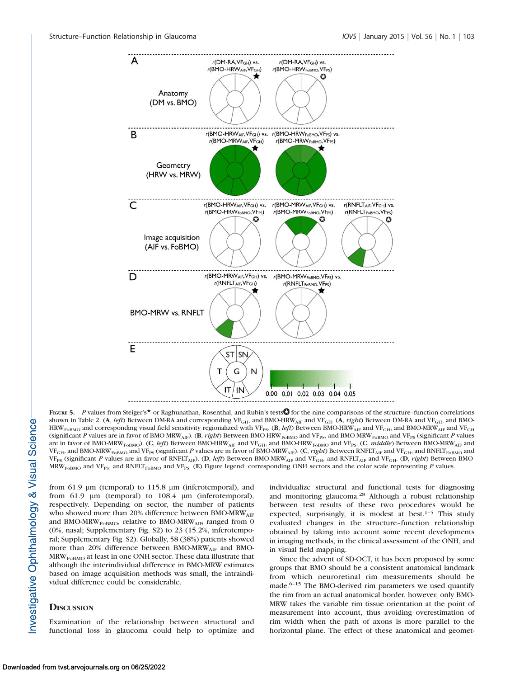

FIGURE 5. P values from Steiger's\* or Raghunathan, Rosenthal, and Rubin's tests<sup>1</sup> for the nine comparisons of the structure–function correlations shown in Table 2. (A, *left*) Between DM-RA and corresponding VF<sub>GH</sub>, and BMO-HRW<sub>AIF</sub> and VF<sub>GH</sub>. (A, *right*) Between DM-RA and VF<sub>GH</sub>, and BMO- $HRW_{FoBMO}$  and corresponding visual field sensitivity regionalized with VF<sub>PS</sub>. (B, *left*) Between BMO-HRW<sub>AIF</sub> and VF<sub>GH</sub>, and BMO-MRW<sub>AIF</sub> and VF<sub>GH</sub> (significant P values are in favor of BMO-MRW<sub>AIF</sub>). (B, right) Between BMO-HRW<sub>FOBMO</sub> and VF<sub>PS</sub>, and BMO-MRW<sub>FOBMO</sub> and VF<sub>PS</sub> (significant P values are in favor of BMO-MRW<sub>FOBMO</sub>). (C, left) Between BMO-HRW<sub>AIF</sub> and VF<sub>GH</sub>, and BMO-HRW<sub>FOBMO</sub> and VF<sub>PS</sub>. (C, *middle*) Between BMO-MRW<sub>AIF</sub> and VF<sub>GH</sub>, and BMO-MRW<sub>FOBMO</sub> and VF<sub>PS</sub> (significant P values are in favor of BMO-MRW<sub>AIF</sub>). (C, *right*) Between RNFLT<sub>AIF</sub> and VF<sub>GH</sub>, and RNFLT<sub>FOBMO</sub> and  $VF_{PS}$  (significant P values are in favor of RNFLT<sub>AIF</sub>). (D, *left*) Between BMO-MRW<sub>AIF</sub> and VF<sub>GH</sub>, and RNFLT<sub>AIF</sub> and VF<sub>GH</sub>. (D, *right*) Between BMO- $MRW_{FoBMO}$  and  $VF_{PS}$ , and  $RNFLT_{FoBMO}$  and  $VF_{PS}$ . (E) Figure legend: corresponding ONH sectors and the color scale representing P values.

from  $61.9 \mu m$  (temporal) to 115.8  $\mu m$  (inferotemporal), and from  $61.9 \mu m$  (temporal) to  $108.4 \mu m$  (inferotemporal), respectively. Depending on sector, the number of patients who showed more than 20% difference between BMO-MRW<sub>AIF</sub> and BMO-MRW<sub>FOBMO</sub>, relative to BMO-MRW<sub>AIB</sub> ranged from 0 (0%, nasal; [Supplementary Fig. S2](http://www.iovs.org/content/56/1/98/suppl/DC1)) to 23 (15.2%, inferotemporal; [Supplementary Fig. S2](http://www.iovs.org/content/56/1/98/suppl/DC1)). Globally, 58 (38%) patients showed more than 20% difference between BMO-MRWAIF and BMO-MRWFoBMO at least in one ONH sector. These data illustrate that although the interindividual difference in BMO-MRW estimates based on image acquisition methods was small, the intraindividual difference could be considerable.

# **DISCUSSION**

Examination of the relationship between structural and functional loss in glaucoma could help to optimize and individualize structural and functional tests for diagnosing and monitoring glaucoma.<sup>28</sup> Although a robust relationship between test results of these two procedures would be expected, surprisingly, it is modest at best.<sup>1-5</sup> This study evaluated changes in the structure–function relationship obtained by taking into account some recent developments in imaging methods, in the clinical assessment of the ONH, and in visual field mapping.

Since the advent of SD-OCT, it has been proposed by some groups that BMO should be a consistent anatomical landmark from which neuroretinal rim measurements should be made.<sup>6-15</sup> The BMO-derived rim parameters we used quantify the rim from an actual anatomical border, however, only BMO-MRW takes the variable rim tissue orientation at the point of measurement into account, thus avoiding overestimation of rim width when the path of axons is more parallel to the horizontal plane. The effect of these anatomical and geomet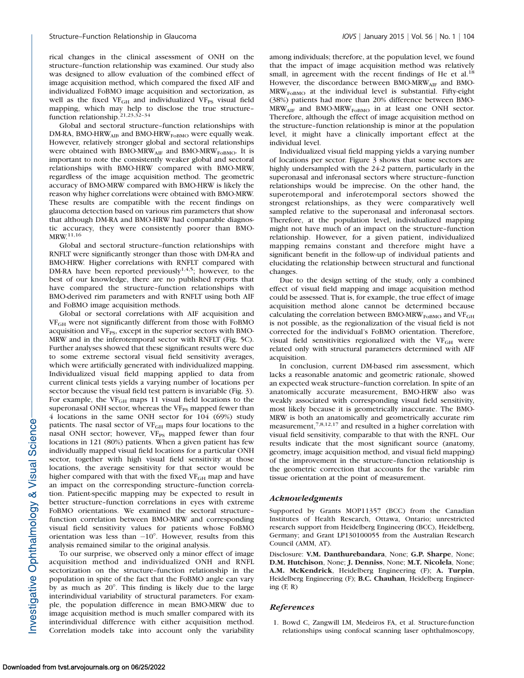rical changes in the clinical assessment of ONH on the structure–function relationship was examined. Our study also was designed to allow evaluation of the combined effect of image acquisition method, which compared the fixed AIF and individualized FoBMO image acquisition and sectorization, as well as the fixed  $VF<sub>GH</sub>$  and individualized  $VF<sub>PS</sub>$  visual field mapping, which may help to disclose the true structure– function relationship.  $21,23,32-34$ 

Global and sectoral structure–function relationships with  $DM-RA$ , BMO-HRW<sub>AIF</sub> and BMO-HRW<sub>FOBMO</sub> were equally weak. However, relatively stronger global and sectoral relationships were obtained with BMO-MRW<sub>AIF</sub> and BMO-MRW<sub>FOBMO</sub>. It is important to note the consistently weaker global and sectoral relationships with BMO-HRW compared with BMO-MRW, regardless of the image acquisition method. The geometric accuracy of BMO-MRW compared with BMO-HRW is likely the reason why higher correlations were obtained with BMO-MRW. These results are compatible with the recent findings on glaucoma detection based on various rim parameters that show that although DM-RA and BMO-HRW had comparable diagnostic accuracy, they were consistently poorer than BMO-MRW.11,16

Global and sectoral structure–function relationships with RNFLT were significantly stronger than those with DM-RA and BMO-HRW. Higher correlations with RNFLT compared with DM-RA have been reported previously<sup>1,4,5</sup>; however, to the best of our knowledge, there are no published reports that have compared the structure–function relationships with BMO-derived rim parameters and with RNFLT using both AIF and FoBMO image acquisition methods.

Global or sectoral correlations with AIF acquisition and VFGH were not significantly different from those with FoBMO acquisition and  $VF_{PS}$ , except in the superior sectors with BMO-MRW and in the inferotemporal sector with RNFLT (Fig. 5C). Further analyses showed that these significant results were due to some extreme sectoral visual field sensitivity averages, which were artificially generated with individualized mapping. Individualized visual field mapping applied to data from current clinical tests yields a varying number of locations per sector because the visual field test pattern is invariable (Fig. 3). For example, the  $VF<sub>GH</sub>$  maps 11 visual field locations to the superonasal ONH sector, whereas the VF<sub>PS</sub> mapped fewer than 4 locations in the same ONH sector for 104 (69%) study patients. The nasal sector of VF<sub>GH</sub> maps four locations to the nasal ONH sector; however, VF<sub>PS</sub> mapped fewer than four locations in 121 (80%) patients. When a given patient has few individually mapped visual field locations for a particular ONH sector, together with high visual field sensitivity at those locations, the average sensitivity for that sector would be higher compared with that with the fixed  $VF<sub>GH</sub>$  map and have an impact on the corresponding structure–function correlation. Patient-specific mapping may be expected to result in better structure–function correlations in eyes with extreme FoBMO orientations. We examined the sectoral structure– function correlation between BMO-MRW and corresponding visual field sensitivity values for patients whose FoBMO orientation was less than  $-10^{\circ}$ . However, results from this analysis remained similar to the original analysis.

To our surprise, we observed only a minor effect of image acquisition method and individualized ONH and RNFL sectorization on the structure–function relationship in the population in spite of the fact that the FoBMO angle can vary by as much as  $20^\circ$ . This finding is likely due to the large interindividual variability of structural parameters. For example, the population difference in mean BMO-MRW due to image acquisition method is much smaller compared with its interindividual difference with either acquisition method. Correlation models take into account only the variability among individuals; therefore, at the population level, we found that the impact of image acquisition method was relatively small, in agreement with the recent findings of He et al.<sup>18</sup> However, the discordance between BMO-MRWAIF and BMO-MRWFoBMO at the individual level is substantial. Fifty-eight (38%) patients had more than 20% difference between BMO-MRWAIF and BMO-MRWFoBMO in at least one ONH sector. Therefore, although the effect of image acquisition method on the structure–function relationship is minor at the population level, it might have a clinically important effect at the individual level.

Individualized visual field mapping yields a varying number of locations per sector. Figure 3 shows that some sectors are highly undersampled with the 24-2 pattern, particularly in the superonasal and inferonasal sectors where structure–function relationships would be imprecise. On the other hand, the superotemporal and inferotemporal sectors showed the strongest relationships, as they were comparatively well sampled relative to the superonasal and inferonasal sectors. Therefore, at the population level, individualized mapping might not have much of an impact on the structure–function relationship. However, for a given patient, individualized mapping remains constant and therefore might have a significant benefit in the follow-up of individual patients and elucidating the relationship between structural and functional changes.

Due to the design setting of the study, only a combined effect of visual field mapping and image acquisition method could be assessed. That is, for example, the true effect of image acquisition method alone cannot be determined because calculating the correlation between BMO-MRW $_{\rm FoBMO}$  and VF $_{\rm GH}$ is not possible, as the regionalization of the visual field is not corrected for the individual's FoBMO orientation. Therefore, visual field sensitivities regionalized with the  $VF<sub>GH</sub>$  were related only with structural parameters determined with AIF acquisition.

In conclusion, current DM-based rim assessment, which lacks a reasonable anatomic and geometric rationale, showed an expected weak structure–function correlation. In spite of an anatomically accurate measurement, BMO-HRW also was weakly associated with corresponding visual field sensitivity, most likely because it is geometrically inaccurate. The BMO-MRW is both an anatomically and geometrically accurate rim measurement,7,8,12,17 and resulted in a higher correlation with visual field sensitivity, comparable to that with the RNFL. Our results indicate that the most significant source (anatomy, geometry, image acquisition method, and visual field mapping) of the improvement in the structure–function relationship is the geometric correction that accounts for the variable rim tissue orientation at the point of measurement.

## Acknowledgments

Supported by Grants MOP11357 (BCC) from the Canadian Institutes of Health Research, Ottawa, Ontario; unrestricted research support from Heidelberg Engineering (BCC), Heidelberg, Germany; and Grant LP130100055 from the Australian Research Council (AMM, AT).

Disclosure: V.M. Danthurebandara, None; G.P. Sharpe, None; D.M. Hutchison, None; J. Denniss, None; M.T. Nicolela, None; A.M. McKendrick, Heidelberg Engineering (F); A. Turpin, Heidelberg Engineering (F); B.C. Chauhan, Heidelberg Engineering (F, R)

#### **References**

1. Bowd C, Zangwill LM, Medeiros FA, et al. Structure-function relationships using confocal scanning laser ophthalmoscopy,